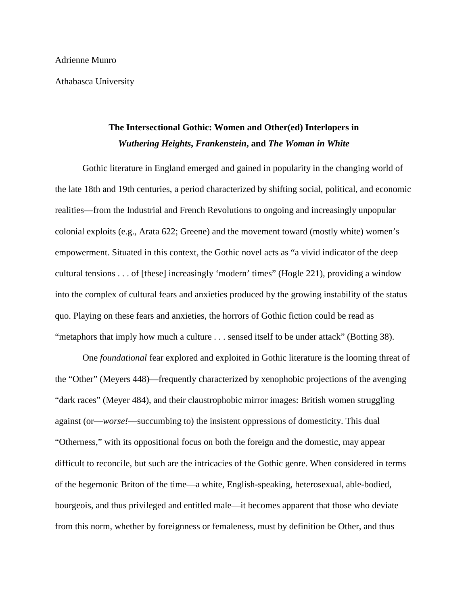Athabasca University

# **The Intersectional Gothic: Women and Other(ed) Interlopers in**  *Wuthering Heights***,** *Frankenstein***, and** *The Woman in White*

Gothic literature in England emerged and gained in popularity in the changing world of the late 18th and 19th centuries, a period characterized by shifting social, political, and economic realities—from the Industrial and French Revolutions to ongoing and increasingly unpopular colonial exploits (e.g., Arata 622; Greene) and the movement toward (mostly white) women's empowerment. Situated in this context, the Gothic novel acts as "a vivid indicator of the deep cultural tensions . . . of [these] increasingly 'modern' times" (Hogle 221), providing a window into the complex of cultural fears and anxieties produced by the growing instability of the status quo. Playing on these fears and anxieties, the horrors of Gothic fiction could be read as "metaphors that imply how much a culture . . . sensed itself to be under attack" (Botting 38).

One *foundational* fear explored and exploited in Gothic literature is the looming threat of the "Other" (Meyers 448)—frequently characterized by xenophobic projections of the avenging "dark races" (Meyer 484), and their claustrophobic mirror images: British women struggling against (or—*worse!*—succumbing to) the insistent oppressions of domesticity. This dual "Otherness," with its oppositional focus on both the foreign and the domestic, may appear difficult to reconcile, but such are the intricacies of the Gothic genre. When considered in terms of the hegemonic Briton of the time—a white, English-speaking, heterosexual, able-bodied, bourgeois, and thus privileged and entitled male—it becomes apparent that those who deviate from this norm, whether by foreignness or femaleness, must by definition be Other, and thus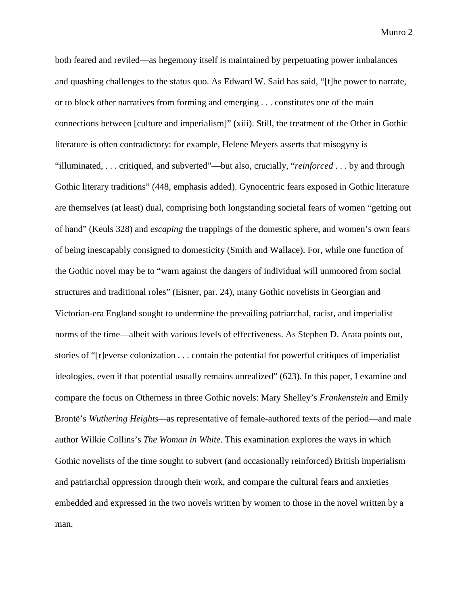both feared and reviled—as hegemony itself is maintained by perpetuating power imbalances and quashing challenges to the status quo. As Edward W. Said has said, "[t]he power to narrate, or to block other narratives from forming and emerging . . . constitutes one of the main connections between [culture and imperialism]" (xiii). Still, the treatment of the Other in Gothic literature is often contradictory: for example, Helene Meyers asserts that misogyny is "illuminated, . . . critiqued, and subverted"—but also, crucially, "*reinforced* . . . by and through Gothic literary traditions" (448, emphasis added). Gynocentric fears exposed in Gothic literature are themselves (at least) dual, comprising both longstanding societal fears of women "getting out of hand" (Keuls 328) and *escaping* the trappings of the domestic sphere, and women's own fears of being inescapably consigned to domesticity (Smith and Wallace). For, while one function of the Gothic novel may be to "warn against the dangers of individual will unmoored from social structures and traditional roles" (Eisner, par. 24), many Gothic novelists in Georgian and Victorian-era England sought to undermine the prevailing patriarchal, racist, and imperialist norms of the time—albeit with various levels of effectiveness. As Stephen D. Arata points out, stories of "[r]everse colonization . . . contain the potential for powerful critiques of imperialist ideologies, even if that potential usually remains unrealized" (623). In this paper, I examine and compare the focus on Otherness in three Gothic novels: Mary Shelley's *Frankenstein* and Emily Brontë's *Wuthering Heights—*as representative of female-authored texts of the period—and male author Wilkie Collins's *The Woman in White*. This examination explores the ways in which Gothic novelists of the time sought to subvert (and occasionally reinforced) British imperialism and patriarchal oppression through their work, and compare the cultural fears and anxieties embedded and expressed in the two novels written by women to those in the novel written by a man.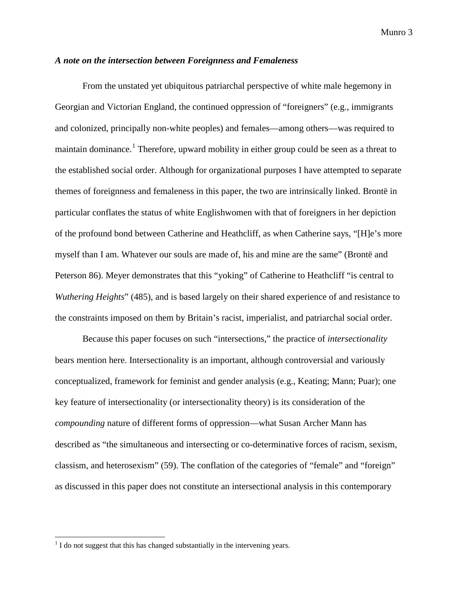### *A note on the intersection between Foreignness and Femaleness*

From the unstated yet ubiquitous patriarchal perspective of white male hegemony in Georgian and Victorian England, the continued oppression of "foreigners" (e.g., immigrants and colonized, principally non-white peoples) and females—among others—was required to maintain dominance.<sup>[1](#page-2-0)</sup> Therefore, upward mobility in either group could be seen as a threat to the established social order. Although for organizational purposes I have attempted to separate themes of foreignness and femaleness in this paper, the two are intrinsically linked. Brontë in particular conflates the status of white Englishwomen with that of foreigners in her depiction of the profound bond between Catherine and Heathcliff, as when Catherine says, "[H]e's more myself than I am. Whatever our souls are made of, his and mine are the same" (Brontë and Peterson 86). Meyer demonstrates that this "yoking" of Catherine to Heathcliff "is central to *Wuthering Heights*" (485), and is based largely on their shared experience of and resistance to the constraints imposed on them by Britain's racist, imperialist, and patriarchal social order.

Because this paper focuses on such "intersections," the practice of *intersectionality* bears mention here. Intersectionality is an important, although controversial and variously conceptualized, framework for feminist and gender analysis (e.g., Keating; Mann; Puar); one key feature of intersectionality (or intersectionality theory) is its consideration of the *compounding* nature of different forms of oppression—what Susan Archer Mann has described as "the simultaneous and intersecting or co-determinative forces of racism, sexism, classism, and heterosexism" (59). The conflation of the categories of "female" and "foreign" as discussed in this paper does not constitute an intersectional analysis in this contemporary

<span id="page-2-0"></span> $<sup>1</sup>$  I do not suggest that this has changed substantially in the intervening years.</sup>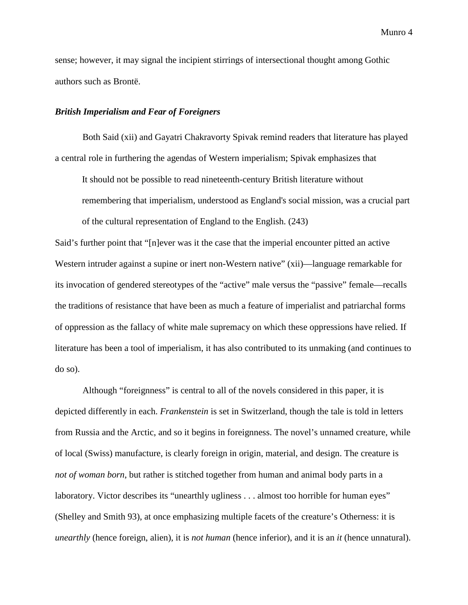sense; however, it may signal the incipient stirrings of intersectional thought among Gothic authors such as Brontë.

#### *British Imperialism and Fear of Foreigners*

Both Said (xii) and Gayatri Chakravorty Spivak remind readers that literature has played a central role in furthering the agendas of Western imperialism; Spivak emphasizes that

It should not be possible to read nineteenth-century British literature without remembering that imperialism, understood as England's social mission, was a crucial part of the cultural representation of England to the English. (243)

Said's further point that "[n]ever was it the case that the imperial encounter pitted an active Western intruder against a supine or inert non-Western native" (xii)—language remarkable for its invocation of gendered stereotypes of the "active" male versus the "passive" female—recalls the traditions of resistance that have been as much a feature of imperialist and patriarchal forms of oppression as the fallacy of white male supremacy on which these oppressions have relied. If literature has been a tool of imperialism, it has also contributed to its unmaking (and continues to do so).

Although "foreignness" is central to all of the novels considered in this paper, it is depicted differently in each. *Frankenstein* is set in Switzerland, though the tale is told in letters from Russia and the Arctic, and so it begins in foreignness. The novel's unnamed creature, while of local (Swiss) manufacture, is clearly foreign in origin, material, and design. The creature is *not of woman born*, but rather is stitched together from human and animal body parts in a laboratory. Victor describes its "unearthly ugliness . . . almost too horrible for human eyes" (Shelley and Smith 93), at once emphasizing multiple facets of the creature's Otherness: it is *unearthly* (hence foreign, alien), it is *not human* (hence inferior), and it is an *it* (hence unnatural).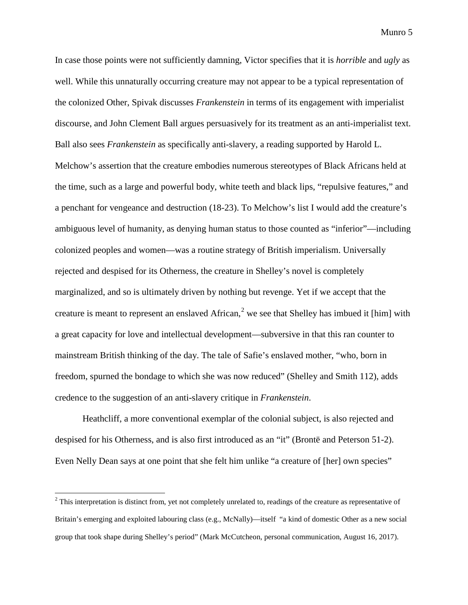In case those points were not sufficiently damning, Victor specifies that it is *horrible* and *ugly* as well. While this unnaturally occurring creature may not appear to be a typical representation of the colonized Other, Spivak discusses *Frankenstein* in terms of its engagement with imperialist discourse, and John Clement Ball argues persuasively for its treatment as an anti-imperialist text. Ball also sees *Frankenstein* as specifically anti-slavery, a reading supported by Harold L. Melchow's assertion that the creature embodies numerous stereotypes of Black Africans held at the time, such as a large and powerful body, white teeth and black lips, "repulsive features," and a penchant for vengeance and destruction (18-23). To Melchow's list I would add the creature's ambiguous level of humanity, as denying human status to those counted as "inferior"—including colonized peoples and women—was a routine strategy of British imperialism. Universally rejected and despised for its Otherness, the creature in Shelley's novel is completely marginalized, and so is ultimately driven by nothing but revenge. Yet if we accept that the creature is meant to represent an enslaved African,<sup>[2](#page-4-0)</sup> we see that Shelley has imbued it [him] with a great capacity for love and intellectual development—subversive in that this ran counter to mainstream British thinking of the day. The tale of Safie's enslaved mother, "who, born in freedom, spurned the bondage to which she was now reduced" (Shelley and Smith 112), adds credence to the suggestion of an anti-slavery critique in *Frankenstein*.

Heathcliff, a more conventional exemplar of the colonial subject, is also rejected and despised for his Otherness, and is also first introduced as an "it" (Brontë and Peterson 51-2). Even Nelly Dean says at one point that she felt him unlike "a creature of [her] own species"

<span id="page-4-0"></span><sup>&</sup>lt;sup>2</sup> This interpretation is distinct from, yet not completely unrelated to, readings of the creature as representative of Britain's emerging and exploited labouring class (e.g., McNally)—itself "a kind of domestic Other as a new social group that took shape during Shelley's period" (Mark McCutcheon, personal communication, August 16, 2017).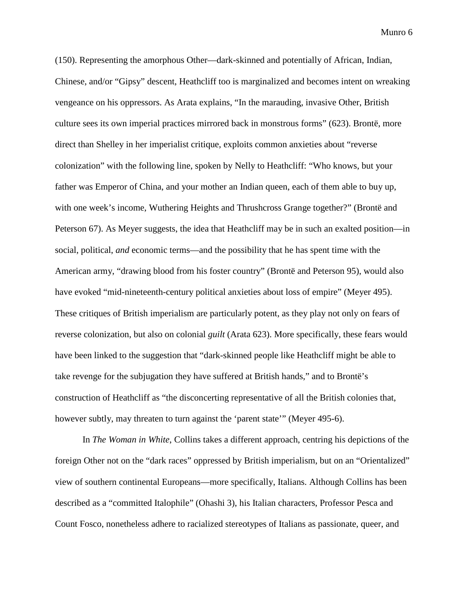(150). Representing the amorphous Other—dark-skinned and potentially of African, Indian, Chinese, and/or "Gipsy" descent, Heathcliff too is marginalized and becomes intent on wreaking vengeance on his oppressors. As Arata explains, "In the marauding, invasive Other, British culture sees its own imperial practices mirrored back in monstrous forms" (623). Brontë, more direct than Shelley in her imperialist critique, exploits common anxieties about "reverse colonization" with the following line, spoken by Nelly to Heathcliff: "Who knows, but your father was Emperor of China, and your mother an Indian queen, each of them able to buy up, with one week's income, Wuthering Heights and Thrushcross Grange together?" (Brontë and Peterson 67). As Meyer suggests, the idea that Heathcliff may be in such an exalted position—in social, political, *and* economic terms—and the possibility that he has spent time with the American army, "drawing blood from his foster country" (Brontë and Peterson 95), would also have evoked "mid-nineteenth-century political anxieties about loss of empire" (Meyer 495). These critiques of British imperialism are particularly potent, as they play not only on fears of reverse colonization, but also on colonial *guilt* (Arata 623). More specifically, these fears would have been linked to the suggestion that "dark-skinned people like Heathcliff might be able to take revenge for the subjugation they have suffered at British hands," and to Brontë's construction of Heathcliff as "the disconcerting representative of all the British colonies that, however subtly, may threaten to turn against the 'parent state'" (Meyer 495-6).

In *The Woman in White*, Collins takes a different approach, centring his depictions of the foreign Other not on the "dark races" oppressed by British imperialism, but on an "Orientalized" view of southern continental Europeans—more specifically, Italians. Although Collins has been described as a "committed Italophile" (Ohashi 3), his Italian characters, Professor Pesca and Count Fosco, nonetheless adhere to racialized stereotypes of Italians as passionate, queer, and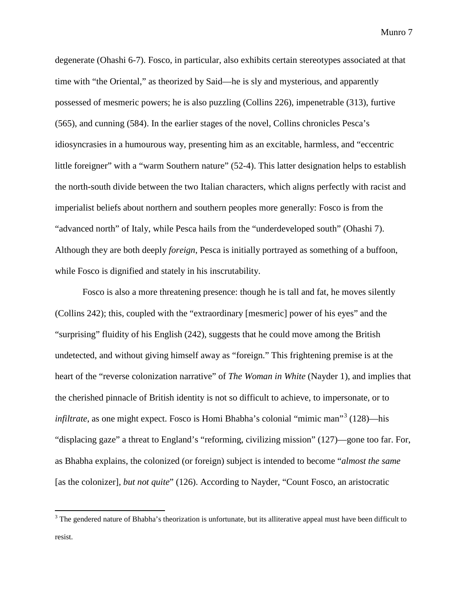degenerate (Ohashi 6-7). Fosco, in particular, also exhibits certain stereotypes associated at that time with "the Oriental," as theorized by Said—he is sly and mysterious, and apparently possessed of mesmeric powers; he is also puzzling (Collins 226), impenetrable (313), furtive (565), and cunning (584). In the earlier stages of the novel, Collins chronicles Pesca's idiosyncrasies in a humourous way, presenting him as an excitable, harmless, and "eccentric little foreigner" with a "warm Southern nature" (52-4). This latter designation helps to establish the north-south divide between the two Italian characters, which aligns perfectly with racist and imperialist beliefs about northern and southern peoples more generally: Fosco is from the "advanced north" of Italy, while Pesca hails from the "underdeveloped south" (Ohashi 7). Although they are both deeply *foreign*, Pesca is initially portrayed as something of a buffoon, while Fosco is dignified and stately in his inscrutability.

Fosco is also a more threatening presence: though he is tall and fat, he moves silently (Collins 242); this, coupled with the "extraordinary [mesmeric] power of his eyes" and the "surprising" fluidity of his English (242), suggests that he could move among the British undetected, and without giving himself away as "foreign." This frightening premise is at the heart of the "reverse colonization narrative" of *The Woman in White* (Nayder 1), and implies that the cherished pinnacle of British identity is not so difficult to achieve, to impersonate, or to *infiltrate*, as one might expect. Fosco is Homi Bhabha's colonial "mimic man"<sup>[3](#page-6-0)</sup> (128)—his "displacing gaze" a threat to England's "reforming, civilizing mission" (127)—gone too far. For, as Bhabha explains, the colonized (or foreign) subject is intended to become "*almost the same* [as the colonizer]*, but not quite*" (126). According to Nayder, "Count Fosco, an aristocratic

<span id="page-6-0"></span> $3$  The gendered nature of Bhabha's theorization is unfortunate, but its alliterative appeal must have been difficult to resist.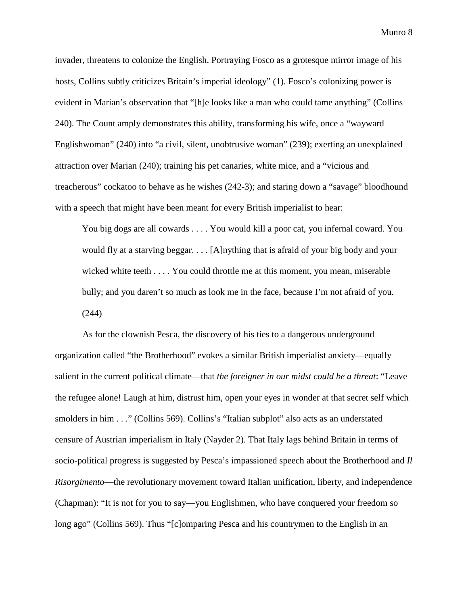invader, threatens to colonize the English. Portraying Fosco as a grotesque mirror image of his hosts, Collins subtly criticizes Britain's imperial ideology" (1). Fosco's colonizing power is evident in Marian's observation that "[h]e looks like a man who could tame anything" (Collins 240). The Count amply demonstrates this ability, transforming his wife, once a "wayward Englishwoman" (240) into "a civil, silent, unobtrusive woman" (239); exerting an unexplained attraction over Marian (240); training his pet canaries, white mice, and a "vicious and treacherous" cockatoo to behave as he wishes (242-3); and staring down a "savage" bloodhound with a speech that might have been meant for every British imperialist to hear:

You big dogs are all cowards . . . . You would kill a poor cat, you infernal coward. You would fly at a starving beggar. . . . [A]nything that is afraid of your big body and your wicked white teeth . . . . You could throttle me at this moment, you mean, miserable bully; and you daren't so much as look me in the face, because I'm not afraid of you. (244)

As for the clownish Pesca, the discovery of his ties to a dangerous underground organization called "the Brotherhood" evokes a similar British imperialist anxiety—equally salient in the current political climate—that *the foreigner in our midst could be a threat*: "Leave the refugee alone! Laugh at him, distrust him, open your eyes in wonder at that secret self which smolders in him . . ." (Collins 569). Collins's "Italian subplot" also acts as an understated censure of Austrian imperialism in Italy (Nayder 2). That Italy lags behind Britain in terms of socio-political progress is suggested by Pesca's impassioned speech about the Brotherhood and *Il Risorgimento*—the revolutionary movement toward Italian unification, liberty, and independence (Chapman): "It is not for you to say—you Englishmen, who have conquered your freedom so long ago" (Collins 569). Thus "[c]omparing Pesca and his countrymen to the English in an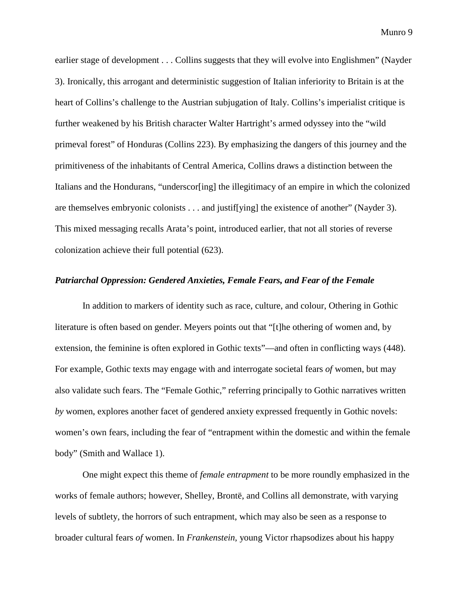earlier stage of development . . . Collins suggests that they will evolve into Englishmen" (Nayder 3). Ironically, this arrogant and deterministic suggestion of Italian inferiority to Britain is at the heart of Collins's challenge to the Austrian subjugation of Italy. Collins's imperialist critique is further weakened by his British character Walter Hartright's armed odyssey into the "wild primeval forest" of Honduras (Collins 223). By emphasizing the dangers of this journey and the primitiveness of the inhabitants of Central America, Collins draws a distinction between the Italians and the Hondurans, "underscor[ing] the illegitimacy of an empire in which the colonized are themselves embryonic colonists . . . and justif[ying] the existence of another" (Nayder 3). This mixed messaging recalls Arata's point, introduced earlier, that not all stories of reverse colonization achieve their full potential (623).

## *Patriarchal Oppression: Gendered Anxieties, Female Fears, and Fear of the Female*

In addition to markers of identity such as race, culture, and colour, Othering in Gothic literature is often based on gender. Meyers points out that "[t]he othering of women and, by extension, the feminine is often explored in Gothic texts"—and often in conflicting ways (448). For example, Gothic texts may engage with and interrogate societal fears *of* women, but may also validate such fears. The "Female Gothic," referring principally to Gothic narratives written *by* women, explores another facet of gendered anxiety expressed frequently in Gothic novels: women's own fears, including the fear of "entrapment within the domestic and within the female body" (Smith and Wallace 1).

One might expect this theme of *female entrapment* to be more roundly emphasized in the works of female authors; however, Shelley, Brontë, and Collins all demonstrate, with varying levels of subtlety, the horrors of such entrapment, which may also be seen as a response to broader cultural fears *of* women. In *Frankenstein*, young Victor rhapsodizes about his happy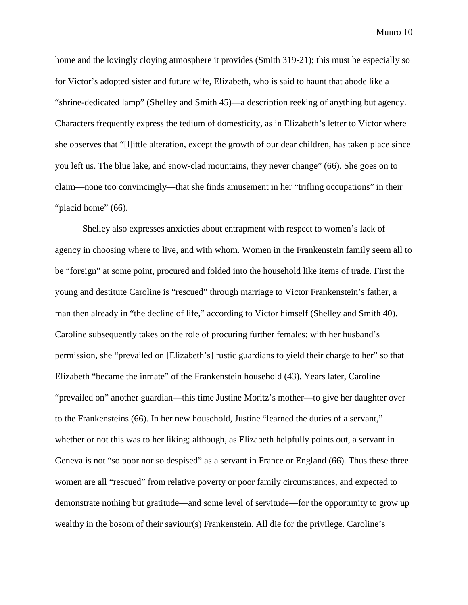home and the lovingly cloying atmosphere it provides (Smith 319-21); this must be especially so for Victor's adopted sister and future wife, Elizabeth, who is said to haunt that abode like a "shrine-dedicated lamp" (Shelley and Smith 45)—a description reeking of anything but agency. Characters frequently express the tedium of domesticity, as in Elizabeth's letter to Victor where she observes that "[l]ittle alteration, except the growth of our dear children, has taken place since you left us. The blue lake, and snow-clad mountains, they never change" (66). She goes on to claim—none too convincingly—that she finds amusement in her "trifling occupations" in their "placid home" (66).

Shelley also expresses anxieties about entrapment with respect to women's lack of agency in choosing where to live, and with whom. Women in the Frankenstein family seem all to be "foreign" at some point, procured and folded into the household like items of trade. First the young and destitute Caroline is "rescued" through marriage to Victor Frankenstein's father, a man then already in "the decline of life," according to Victor himself (Shelley and Smith 40). Caroline subsequently takes on the role of procuring further females: with her husband's permission, she "prevailed on [Elizabeth's] rustic guardians to yield their charge to her" so that Elizabeth "became the inmate" of the Frankenstein household (43). Years later, Caroline "prevailed on" another guardian—this time Justine Moritz's mother—to give her daughter over to the Frankensteins (66). In her new household, Justine "learned the duties of a servant," whether or not this was to her liking; although, as Elizabeth helpfully points out, a servant in Geneva is not "so poor nor so despised" as a servant in France or England (66). Thus these three women are all "rescued" from relative poverty or poor family circumstances, and expected to demonstrate nothing but gratitude—and some level of servitude—for the opportunity to grow up wealthy in the bosom of their saviour(s) Frankenstein. All die for the privilege. Caroline's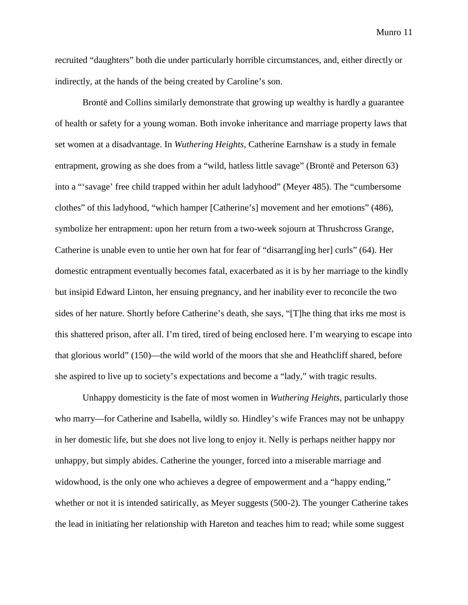recruited "daughters" both die under particularly horrible circumstances, and, either directly or indirectly, at the hands of the being created by Caroline's son.

Brontë and Collins similarly demonstrate that growing up wealthy is hardly a guarantee of health or safety for a young woman. Both invoke inheritance and marriage property laws that set women at a disadvantage. In *Wuthering Heights*, Catherine Earnshaw is a study in female entrapment, growing as she does from a "wild, hatless little savage" (Brontë and Peterson 63) into a "'savage' free child trapped within her adult ladyhood" (Meyer 485). The "cumbersome clothes" of this ladyhood, "which hamper [Catherine's] movement and her emotions" (486), symbolize her entrapment: upon her return from a two-week sojourn at Thrushcross Grange, Catherine is unable even to untie her own hat for fear of "disarrang[ing her] curls" (64). Her domestic entrapment eventually becomes fatal, exacerbated as it is by her marriage to the kindly but insipid Edward Linton, her ensuing pregnancy, and her inability ever to reconcile the two sides of her nature. Shortly before Catherine's death, she says, "[T]he thing that irks me most is this shattered prison, after all. I'm tired, tired of being enclosed here. I'm wearying to escape into that glorious world" (150)—the wild world of the moors that she and Heathcliff shared, before she aspired to live up to society's expectations and become a "lady," with tragic results.

Unhappy domesticity is the fate of most women in *Wuthering Heights*, particularly those who marry—for Catherine and Isabella, wildly so. Hindley's wife Frances may not be unhappy in her domestic life, but she does not live long to enjoy it. Nelly is perhaps neither happy nor unhappy, but simply abides. Catherine the younger, forced into a miserable marriage and widowhood, is the only one who achieves a degree of empowerment and a "happy ending," whether or not it is intended satirically, as Meyer suggests (500-2). The younger Catherine takes the lead in initiating her relationship with Hareton and teaches him to read; while some suggest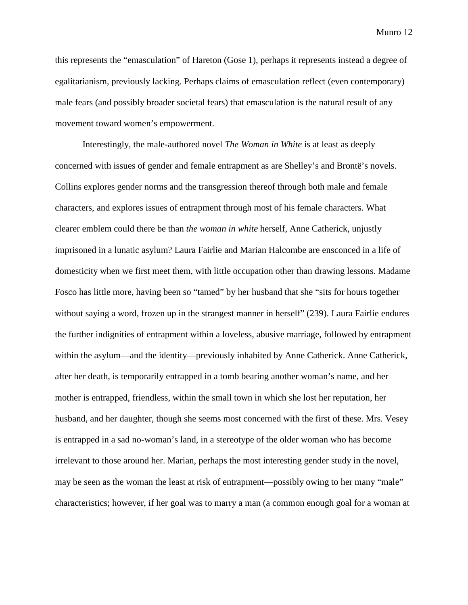this represents the "emasculation" of Hareton (Gose 1), perhaps it represents instead a degree of egalitarianism, previously lacking. Perhaps claims of emasculation reflect (even contemporary) male fears (and possibly broader societal fears) that emasculation is the natural result of any movement toward women's empowerment.

Interestingly, the male-authored novel *The Woman in White* is at least as deeply concerned with issues of gender and female entrapment as are Shelley's and Brontë's novels. Collins explores gender norms and the transgression thereof through both male and female characters, and explores issues of entrapment through most of his female characters. What clearer emblem could there be than *the woman in white* herself, Anne Catherick, unjustly imprisoned in a lunatic asylum? Laura Fairlie and Marian Halcombe are ensconced in a life of domesticity when we first meet them, with little occupation other than drawing lessons. Madame Fosco has little more, having been so "tamed" by her husband that she "sits for hours together without saying a word, frozen up in the strangest manner in herself" (239). Laura Fairlie endures the further indignities of entrapment within a loveless, abusive marriage, followed by entrapment within the asylum—and the identity—previously inhabited by Anne Catherick. Anne Catherick, after her death, is temporarily entrapped in a tomb bearing another woman's name, and her mother is entrapped, friendless, within the small town in which she lost her reputation, her husband, and her daughter, though she seems most concerned with the first of these. Mrs. Vesey is entrapped in a sad no-woman's land, in a stereotype of the older woman who has become irrelevant to those around her. Marian, perhaps the most interesting gender study in the novel, may be seen as the woman the least at risk of entrapment—possibly owing to her many "male" characteristics; however, if her goal was to marry a man (a common enough goal for a woman at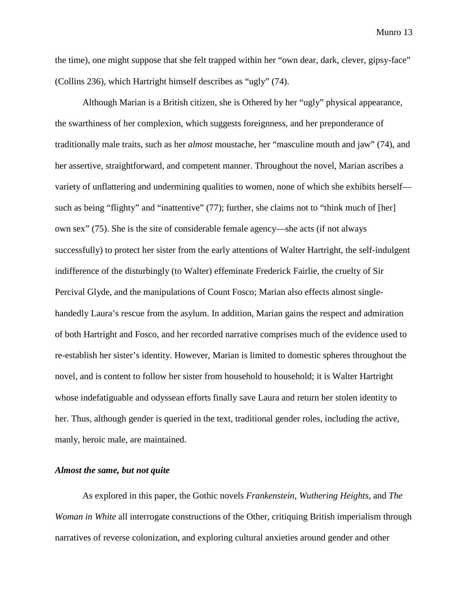the time), one might suppose that she felt trapped within her "own dear, dark, clever, gipsy-face" (Collins 236), which Hartright himself describes as "ugly" (74).

Although Marian is a British citizen, she is Othered by her "ugly" physical appearance, the swarthiness of her complexion, which suggests foreignness, and her preponderance of traditionally male traits, such as her *almost* moustache, her "masculine mouth and jaw" (74), and her assertive, straightforward, and competent manner. Throughout the novel, Marian ascribes a variety of unflattering and undermining qualities to women, none of which she exhibits herself such as being "flighty" and "inattentive" (77); further, she claims not to "think much of [her] own sex" (75). She is the site of considerable female agency—she acts (if not always successfully) to protect her sister from the early attentions of Walter Hartright, the self-indulgent indifference of the disturbingly (to Walter) effeminate Frederick Fairlie, the cruelty of Sir Percival Glyde, and the manipulations of Count Fosco; Marian also effects almost singlehandedly Laura's rescue from the asylum. In addition, Marian gains the respect and admiration of both Hartright and Fosco, and her recorded narrative comprises much of the evidence used to re-establish her sister's identity. However, Marian is limited to domestic spheres throughout the novel, and is content to follow her sister from household to household; it is Walter Hartright whose indefatiguable and odyssean efforts finally save Laura and return her stolen identity to her. Thus, although gender is queried in the text, traditional gender roles, including the active, manly, heroic male, are maintained.

## *Almost the same, but not quite*

As explored in this paper, the Gothic novels *Frankenstein*, *Wuthering Heights*, and *The Woman in White* all interrogate constructions of the Other, critiquing British imperialism through narratives of reverse colonization, and exploring cultural anxieties around gender and other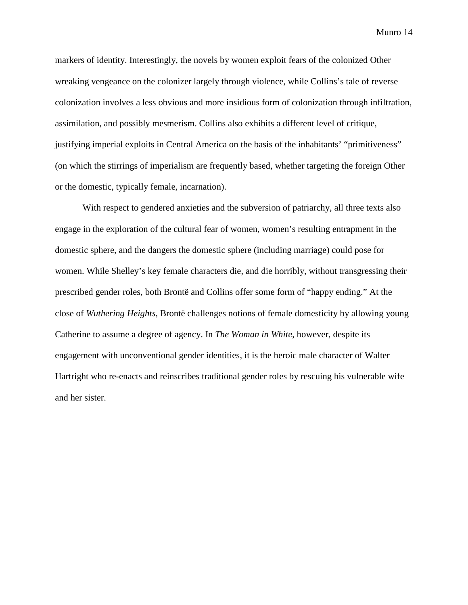markers of identity. Interestingly, the novels by women exploit fears of the colonized Other wreaking vengeance on the colonizer largely through violence, while Collins's tale of reverse colonization involves a less obvious and more insidious form of colonization through infiltration, assimilation, and possibly mesmerism. Collins also exhibits a different level of critique, justifying imperial exploits in Central America on the basis of the inhabitants' "primitiveness" (on which the stirrings of imperialism are frequently based, whether targeting the foreign Other or the domestic, typically female, incarnation).

With respect to gendered anxieties and the subversion of patriarchy, all three texts also engage in the exploration of the cultural fear of women, women's resulting entrapment in the domestic sphere, and the dangers the domestic sphere (including marriage) could pose for women. While Shelley's key female characters die, and die horribly, without transgressing their prescribed gender roles, both Brontë and Collins offer some form of "happy ending." At the close of *Wuthering Heights*, Brontë challenges notions of female domesticity by allowing young Catherine to assume a degree of agency. In *The Woman in White*, however, despite its engagement with unconventional gender identities, it is the heroic male character of Walter Hartright who re-enacts and reinscribes traditional gender roles by rescuing his vulnerable wife and her sister.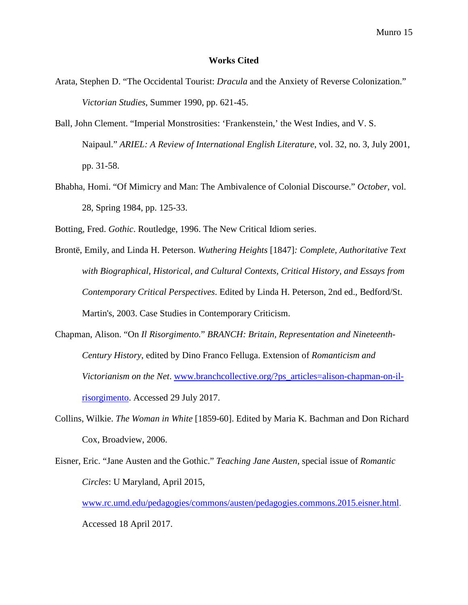#### **Works Cited**

- Arata, Stephen D. "The Occidental Tourist: *Dracula* and the Anxiety of Reverse Colonization." *Victorian Studies*, Summer 1990, pp. 621-45.
- Ball, John Clement. "Imperial Monstrosities: 'Frankenstein,' the West Indies, and V. S. Naipaul." *ARIEL: A Review of International English Literature*, vol. 32, no. 3, July 2001, pp. 31-58.
- Bhabha, Homi. "Of Mimicry and Man: The Ambivalence of Colonial Discourse." *October*, vol. 28, Spring 1984, pp. 125-33.
- Botting, Fred. *Gothic*. Routledge, 1996. The New Critical Idiom series.
- Brontë, Emily, and Linda H. Peterson. *Wuthering Heights* [1847]*: Complete, Authoritative Text with Biographical, Historical, and Cultural Contexts, Critical History, and Essays from Contemporary Critical Perspectives*. Edited by Linda H. Peterson, 2nd ed., Bedford/St. Martin's, 2003. Case Studies in Contemporary Criticism.
- Chapman, Alison. "On *Il Risorgimento.*" *BRANCH: Britain, Representation and Nineteenth-Century History*, edited by Dino Franco Felluga. Extension of *Romanticism and Victorianism on the Net*. www.branchcollective.org/?ps\_articles=alison-chapman-on-ilrisorgimento. Accessed 29 July 2017.
- Collins, Wilkie. *The Woman in White* [1859-60]. Edited by Maria K. Bachman and Don Richard Cox, Broadview, 2006.
- Eisner, Eric. "Jane Austen and the Gothic." *Teaching Jane Austen*, special issue of *Romantic Circles*: U Maryland, April 2015,
	- www.rc.umd.edu/pedagogies/commons/austen/pedagogies.commons.2015.eisner.html. Accessed 18 April 2017.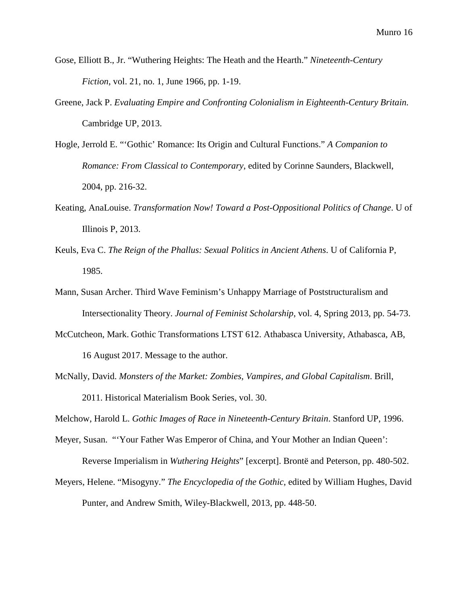- Gose, Elliott B., Jr. "Wuthering Heights: The Heath and the Hearth." *Nineteenth-Century Fiction*, vol. 21, no. 1, June 1966, pp. 1-19.
- Greene, Jack P. *Evaluating Empire and Confronting Colonialism in Eighteenth-Century Britain.* Cambridge UP, 2013.
- Hogle, Jerrold E. "'Gothic' Romance: Its Origin and Cultural Functions." *A Companion to Romance: From Classical to Contemporary*, edited by Corinne Saunders, Blackwell, 2004, pp. 216-32.
- Keating, AnaLouise. *Transformation Now! Toward a Post-Oppositional Politics of Change*. U of Illinois P, 2013.
- Keuls, Eva C. *The Reign of the Phallus: Sexual Politics in Ancient Athens*. U of California P, 1985.
- Mann, Susan Archer. Third Wave Feminism's Unhappy Marriage of Poststructuralism and Intersectionality Theory. *Journal of Feminist Scholarship*, vol. 4, Spring 2013, pp. 54-73.
- McCutcheon, Mark. Gothic Transformations LTST 612. Athabasca University, Athabasca, AB, 16 August 2017. Message to the author.
- McNally, David. *Monsters of the Market: Zombies, Vampires, and Global Capitalism*. Brill, 2011. Historical Materialism Book Series, vol. 30.

Melchow, Harold L. *Gothic Images of Race in Nineteenth-Century Britain*. Stanford UP, 1996.

Meyer, Susan. "'Your Father Was Emperor of China, and Your Mother an Indian Queen':

Reverse Imperialism in *Wuthering Heights*" [excerpt]. Brontë and Peterson, pp. 480-502.

Meyers, Helene. "Misogyny." *The Encyclopedia of the Gothic*, edited by William Hughes, David Punter, and Andrew Smith, Wiley-Blackwell, 2013, pp. 448-50.